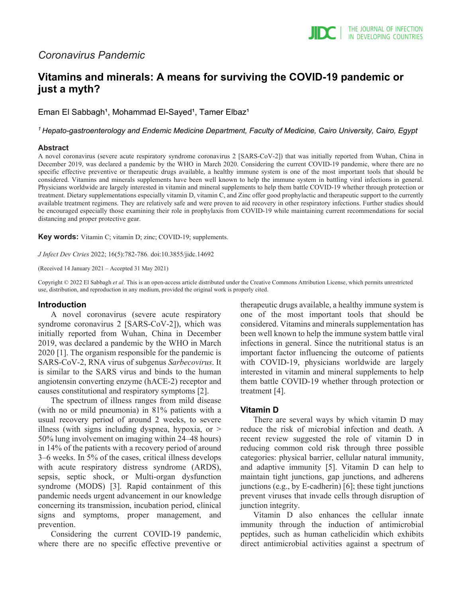## *Coronavirus Pandemic*

# **Vitamins and minerals: A means for surviving the COVID-19 pandemic or just a myth?**

Eman El Sabbagh<sup>1</sup>, Mohammad El-Sayed<sup>1</sup>, Tamer Elbaz<sup>1</sup>

*1 Hepato-gastroenterology and Endemic Medicine Department, Faculty of Medicine, Cairo University, Cairo, Egypt*

#### **Abstract**

A novel coronavirus (severe acute respiratory syndrome coronavirus 2 [SARS‐CoV‐2]) that was initially reported from Wuhan, China in December 2019, was declared a pandemic by the WHO in March 2020. Considering the current COVID-19 pandemic, where there are no specific effective preventive or therapeutic drugs available, a healthy immune system is one of the most important tools that should be considered. Vitamins and minerals supplements have been well known to help the immune system in battling viral infections in general. Physicians worldwide are largely interested in vitamin and mineral supplements to help them battle COVID-19 whether through protection or treatment. Dietary supplementations especially vitamin D, vitamin C, and Zinc offer good prophylactic and therapeutic support to the currently available treatment regimens. They are relatively safe and were proven to aid recovery in other respiratory infections. Further studies should be encouraged especially those examining their role in prophylaxis from COVID-19 while maintaining current recommendations for social distancing and proper protective gear.

**Key words:** Vitamin C; vitamin D; zinc; COVID-19; supplements.

*J Infect Dev Ctries* 2022; 16(5):782-786*.* doi:10.3855/jidc.14692

(Received 14 January 2021 – Accepted 31 May 2021)

Copyright © 2022 El Sabbagh *et al*. This is an open-access article distributed under the Creative Commons Attribution License, which permits unrestricted use, distribution, and reproduction in any medium, provided the original work is properly cited.

### **Introduction**

A novel coronavirus (severe acute respiratory syndrome coronavirus 2 [SARS-CoV-2]), which was initially reported from Wuhan, China in December 2019, was declared a pandemic by the WHO in March 2020 [1]. The organism responsible for the pandemic is SARS-CoV-2, RNA virus of subgenus *Sarbecovirus*. It is similar to the SARS virus and binds to the human angiotensin converting enzyme (hACE-2) receptor and causes constitutional and respiratory symptoms [2].

The spectrum of illness ranges from mild disease (with no or mild pneumonia) in 81% patients with a usual recovery period of around 2 weeks, to severe illness (with signs including dyspnea, hypoxia, or  $\geq$ 50% lung involvement on imaging within 24–48 hours) in 14% of the patients with a recovery period of around 3–6 weeks. In 5% of the cases, critical illness develops with acute respiratory distress syndrome (ARDS), sepsis, septic shock, or Multi-organ dysfunction syndrome (MODS) [3]. Rapid containment of this pandemic needs urgent advancement in our knowledge concerning its transmission, incubation period, clinical signs and symptoms, proper management, and prevention.

Considering the current COVID-19 pandemic, where there are no specific effective preventive or therapeutic drugs available, a healthy immune system is one of the most important tools that should be considered. Vitamins and minerals supplementation has been well known to help the immune system battle viral infections in general. Since the nutritional status is an important factor influencing the outcome of patients with COVID-19, physicians worldwide are largely interested in vitamin and mineral supplements to help them battle COVID-19 whether through protection or treatment [4].

### **Vitamin D**

There are several ways by which vitamin D may reduce the risk of microbial infection and death. A recent review suggested the role of vitamin D in reducing common cold risk through three possible categories: physical barrier, cellular natural immunity, and adaptive immunity [5]. Vitamin D can help to maintain tight junctions, gap junctions, and adherens junctions (e.g., by E-cadherin) [6]; these tight junctions prevent viruses that invade cells through disruption of junction integrity.

Vitamin D also enhances the cellular innate immunity through the induction of antimicrobial peptides, such as human cathelicidin which exhibits direct antimicrobial activities against a spectrum of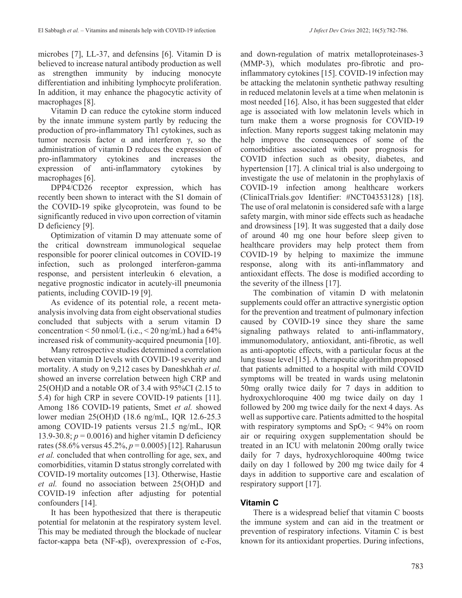microbes [7], LL-37, and defensins [6]. Vitamin D is believed to increase natural antibody production as well as strengthen immunity by inducing monocyte differentiation and inhibiting lymphocyte proliferation. In addition, it may enhance the phagocytic activity of macrophages [8].

Vitamin D can reduce the cytokine storm induced by the innate immune system partly by reducing the production of pro-inflammatory Th1 cytokines, such as tumor necrosis factor α and interferon γ, so the administration of vitamin D reduces the expression of pro-inflammatory cytokines and increases the expression of anti-inflammatory cytokines by macrophages [6].

DPP4/CD26 receptor expression, which has recently been shown to interact with the S1 domain of the COVID-19 spike glycoprotein, was found to be significantly reduced in vivo upon correction of vitamin D deficiency [9].

Optimization of vitamin D may attenuate some of the critical downstream immunological sequelae responsible for poorer clinical outcomes in COVID-19 infection, such as prolonged interferon-gamma response, and persistent interleukin 6 elevation, a negative prognostic indicator in acutely-ill pneumonia patients, including COVID-19 [9].

As evidence of its potential role, a recent metaanalysis involving data from eight observational studies concluded that subjects with a serum vitamin D concentration  $\leq 50$  nmol/L (i.e.,  $\leq 20$  ng/mL) had a 64% increased risk of community-acquired pneumonia [10].

Many retrospective studies determined a correlation between vitamin D levels with COVID-19 severity and mortality. A study on 9,212 cases by Daneshkhah *et al.* showed an inverse correlation between high CRP and 25(OH)D and a notable OR of 3.4 with 95%CI (2.15 to 5.4) for high CRP in severe COVID-19 patients [11]. Among 186 COVID-19 patients, Smet *et al.* showed lower median 25(OH)D (18.6 ng/mL, IQR 12.6-25.3 among COVID-19 patients versus 21.5 ng/mL, IQR 13.9-30.8;  $p = 0.0016$ ) and higher vitamin D deficiency rates (58.6% versus 45.2%, *p* = 0.0005) [12]. Raharusun *et al.* concluded that when controlling for age, sex, and comorbidities, vitamin D status strongly correlated with COVID-19 mortality outcomes [13]. Otherwise, Hastie *et al.* found no association between 25(OH)D and COVID-19 infection after adjusting for potential confounders [14].

It has been hypothesized that there is therapeutic potential for melatonin at the respiratory system level. This may be mediated through the blockade of nuclear factor-κappa beta (NF-κβ), overexpression of c-Fos, and down-regulation of matrix metalloproteinases-3 (MMP-3), which modulates pro-fibrotic and proinflammatory cytokines [15]. COVID-19 infection may be attacking the melatonin synthetic pathway resulting in reduced melatonin levels at a time when melatonin is most needed [16]. Also, it has been suggested that elder age is associated with low melatonin levels which in turn make them a worse prognosis for COVID-19 infection. Many reports suggest taking melatonin may help improve the consequences of some of the comorbidities associated with poor prognosis for COVID infection such as obesity, diabetes, and hypertension [17]. A clinical trial is also undergoing to investigate the use of melatonin in the prophylaxis of COVID-19 infection among healthcare workers (ClinicalTrials.gov Identifier: #NCT04353128) [18]. The use of oral melatonin is considered safe with a large safety margin, with minor side effects such as headache and drowsiness [19]. It was suggested that a daily dose of around 40 mg one hour before sleep given to healthcare providers may help protect them from COVID-19 by helping to maximize the immune response, along with its anti-inflammatory and antioxidant effects. The dose is modified according to the severity of the illness [17].

The combination of vitamin D with melatonin supplements could offer an attractive synergistic option for the prevention and treatment of pulmonary infection caused by COVID-19 since they share the same signaling pathways related to anti-inflammatory, immunomodulatory, antioxidant, anti-fibrotic, as well as anti-apoptotic effects, with a particular focus at the lung tissue level [15]. A therapeutic algorithm proposed that patients admitted to a hospital with mild COVID symptoms will be treated in wards using melatonin 50mg orally twice daily for 7 days in addition to hydroxychloroquine 400 mg twice daily on day 1 followed by 200 mg twice daily for the next 4 days. As well as supportive care. Patients admitted to the hospital with respiratory symptoms and  $SpO<sub>2</sub> < 94%$  on room air or requiring oxygen supplementation should be treated in an ICU with melatonin 200mg orally twice daily for 7 days, hydroxychloroquine 400mg twice daily on day 1 followed by 200 mg twice daily for 4 days in addition to supportive care and escalation of respiratory support [17].

### **Vitamin C**

There is a widespread belief that vitamin C boosts the immune system and can aid in the treatment or prevention of respiratory infections. Vitamin C is best known for its antioxidant properties. During infections,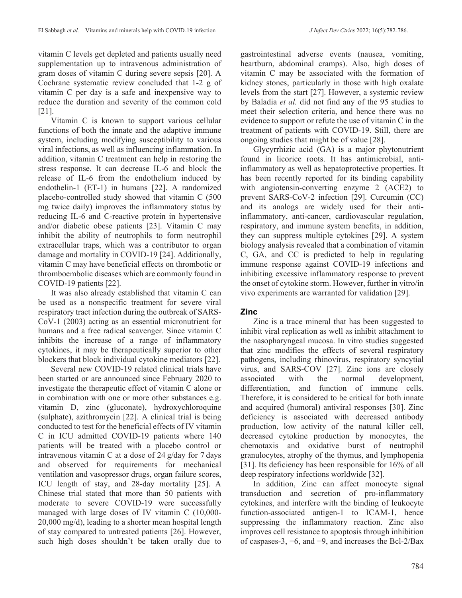vitamin C levels get depleted and patients usually need supplementation up to intravenous administration of gram doses of vitamin C during severe sepsis [20]. A Cochrane systematic review concluded that 1-2 g of vitamin C per day is a safe and inexpensive way to reduce the duration and severity of the common cold [21].

Vitamin C is known to support various cellular functions of both the innate and the adaptive immune system, including modifying susceptibility to various viral infections, as well as influencing inflammation. In addition, vitamin C treatment can help in restoring the stress response. It can decrease IL-6 and block the release of IL-6 from the endothelium induced by endothelin-1 (ET-1) in humans [22]. A randomized placebo-controlled study showed that vitamin C (500 mg twice daily) improves the inflammatory status by reducing IL-6 and C-reactive protein in hypertensive and/or diabetic obese patients [23]. Vitamin C may inhibit the ability of neutrophils to form neutrophil extracellular traps, which was a contributor to organ damage and mortality in COVID-19 [24]. Additionally, vitamin C may have beneficial effects on thrombotic or thromboembolic diseases which are commonly found in COVID-19 patients [22].

It was also already established that vitamin C can be used as a nonspecific treatment for severe viral respiratory tract infection during the outbreak of SARS‐ CoV‐1 (2003) acting as an essential micronutrient for humans and a free radical scavenger. Since vitamin C inhibits the increase of a range of inflammatory cytokines, it may be therapeutically superior to other blockers that block individual cytokine mediators [22].

Several new COVID-19 related clinical trials have been started or are announced since February 2020 to investigate the therapeutic effect of vitamin C alone or in combination with one or more other substances e.g. vitamin D, zinc (gluconate), hydroxychloroquine (sulphate), azithromycin [22]. A clinical trial is being conducted to test for the beneficial effects of IV vitamin C in ICU admitted COVID-19 patients where 140 patients will be treated with a placebo control or intravenous vitamin C at a dose of 24 g/day for 7 days and observed for requirements for mechanical ventilation and vasopressor drugs, organ failure scores, ICU length of stay, and 28-day mortality [25]. A Chinese trial stated that more than 50 patients with moderate to severe COVID-19 were successfully managed with large doses of IV vitamin C (10,000- 20,000 mg/d), leading to a shorter mean hospital length of stay compared to untreated patients [26]. However, such high doses shouldn't be taken orally due to

gastrointestinal adverse events (nausea, vomiting, heartburn, abdominal cramps). Also, high doses of vitamin C may be associated with the formation of kidney stones, particularly in those with high oxalate levels from the start [27]. However, a systemic review by Baladia *et al.* did not find any of the 95 studies to meet their selection criteria, and hence there was no evidence to support or refute the use of vitamin C in the treatment of patients with COVID-19. Still, there are ongoing studies that might be of value [28].

Glycyrrhizic acid (GA) is a major phytonutrient found in licorice roots. It has antimicrobial, antiinflammatory as well as hepatoprotective properties. It has been recently reported for its binding capability with angiotensin-converting enzyme 2 (ACE2) to prevent SARS-CoV-2 infection [29]. Curcumin (CC) and its analogs are widely used for their antiinflammatory, anti-cancer, cardiovascular regulation, respiratory, and immune system benefits, in addition, they can suppress multiple cytokines [29]. A system biology analysis revealed that a combination of vitamin C, GA, and CC is predicted to help in regulating immune response against COVID-19 infections and inhibiting excessive inflammatory response to prevent the onset of cytokine storm. However, further in vitro/in vivo experiments are warranted for validation [29].

### **Zinc**

Zinc is a trace mineral that has been suggested to inhibit viral replication as well as inhibit attachment to the nasopharyngeal mucosa. In vitro studies suggested that zinc modifies the effects of several respiratory pathogens, including rhinovirus, respiratory syncytial virus, and SARS-COV [27]. Zinc ions are closely associated with the normal development, differentiation, and function of immune cells. Therefore, it is considered to be critical for both innate and acquired (humoral) antiviral responses [30]. Zinc deficiency is associated with decreased antibody production, low activity of the natural killer cell, decreased cytokine production by monocytes, the chemotaxis and oxidative burst of neutrophil granulocytes, atrophy of the thymus, and lymphopenia [31]. Its deficiency has been responsible for 16% of all deep respiratory infections worldwide [32].

In addition, Zinc can affect monocyte signal transduction and secretion of pro-inflammatory cytokines, and interfere with the binding of leukocyte function-associated antigen-1 to ICAM-1, hence suppressing the inflammatory reaction. Zinc also improves cell resistance to apoptosis through inhibition of caspases-3, −6, and −9, and increases the Bcl-2/Bax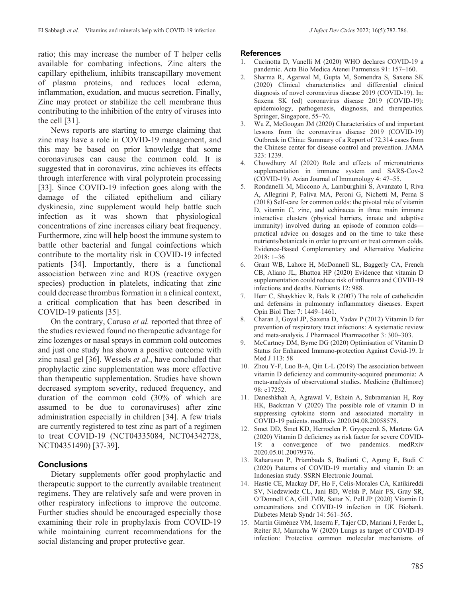ratio; this may increase the number of T helper cells available for combating infections. Zinc alters the capillary epithelium, inhibits transcapillary movement of plasma proteins, and reduces local edema, inflammation, exudation, and mucus secretion. Finally, Zinc may protect or stabilize the cell membrane thus contributing to the inhibition of the entry of viruses into the cell [31].

News reports are starting to emerge claiming that zinc may have a role in COVID-19 management, and this may be based on prior knowledge that some coronaviruses can cause the common cold. It is suggested that in coronavirus, zinc achieves its effects through interference with viral polyprotein processing [33]. Since COVID-19 infection goes along with the damage of the ciliated epithelium and ciliary dyskinesia, zinc supplement would help battle such infection as it was shown that physiological concentrations of zinc increases ciliary beat frequency. Furthermore, zinc will help boost the immune system to battle other bacterial and fungal coinfections which contribute to the mortality risk in COVID-19 infected patients [34]. Importantly, there is a functional association between zinc and ROS (reactive oxygen species) production in platelets, indicating that zinc could decrease thrombus formation in a clinical context, a critical complication that has been described in COVID-19 patients [35].

On the contrary, Caruso *et al.* reported that three of the studies reviewed found no therapeutic advantage for zinc lozenges or nasal sprays in common cold outcomes and just one study has shown a positive outcome with zinc nasal gel [36]. Wessels *et al*., have concluded that prophylactic zinc supplementation was more effective than therapeutic supplementation. Studies have shown decreased symptom severity, reduced frequency, and duration of the common cold (30% of which are assumed to be due to coronaviruses) after zinc administration especially in children [34]. A few trials are currently registered to test zinc as part of a regimen to treat COVID-19 (NCT04335084, NCT04342728, NCT04351490) [37-39].

### **Conclusions**

Dietary supplements offer good prophylactic and therapeutic support to the currently available treatment regimens. They are relatively safe and were proven in other respiratory infections to improve the outcome. Further studies should be encouraged especially those examining their role in prophylaxis from COVID-19 while maintaining current recommendations for the social distancing and proper protective gear.

#### **References**

- 1. Cucinotta D, Vanelli M (2020) WHO declares COVID-19 a pandemic. Acta Bio Medica Atenei Parmensis 91: 157–160.
- 2. Sharma R, Agarwal M, Gupta M, Somendra S, Saxena SK (2020) Clinical characteristics and differential clinical diagnosis of novel coronavirus disease 2019 (COVID-19). In: Saxena SK (ed) coronavirus disease 2019 (COVID-19): epidemiology, pathogenesis, diagnosis, and therapeutics. Springer, Singapore, 55–70.
- 3. Wu Z, McGoogan JM (2020) Characteristics of and important lessons from the coronavirus disease 2019 (COVID-19) Outbreak in China: Summary of a Report of 72,314 cases from the Chinese center for disease control and prevention. JAMA 323: 1239.
- 4. Chowdhury AI (2020) Role and effects of micronutrients supplementation in immune system and SARS-Cov-2 (COVID-19). Asian Journal of Immunology 4: 47–55.
- 5. Rondanelli M, Miccono A, Lamburghini S, Avanzato I, Riva A, Allegrini P, Faliva MA, Peroni G, Nichetti M, Perna S (2018) Self-care for common colds: the pivotal role of vitamin D, vitamin C, zinc, and echinacea in three main immune interactive clusters (physical barriers, innate and adaptive immunity) involved during an episode of common colds practical advice on dosages and on the time to take these nutrients/botanicals in order to prevent or treat common colds. Evidence-Based Complementary and Alternative Medicine 2018: 1–36
- 6. Grant WB, Lahore H, McDonnell SL, Baggerly CA, French CB, Aliano JL, Bhattoa HP (2020) Evidence that vitamin D supplementation could reduce risk of influenza and COVID-19 infections and deaths. Nutrients 12: 988.
- 7. Herr C, Shaykhiev R, Bals R (2007) The role of cathelicidin and defensins in pulmonary inflammatory diseases. Expert Opin Biol Ther 7: 1449–1461.
- 8. Charan J, Goyal JP, Saxena D, Yadav P (2012) Vitamin D for prevention of respiratory tract infections: A systematic review and meta-analysis. J Pharmacol Pharmacother 3: 300–303.
- 9. McCartney DM, Byrne DG (2020) Optimisation of Vitamin D Status for Enhanced Immuno-protection Against Covid-19. Ir Med J 113: 58
- 10. Zhou Y-F, Luo B-A, Qin L-L (2019) The association between vitamin D deficiency and community-acquired pneumonia: A meta-analysis of observational studies. Medicine (Baltimore) 98: e17252.
- 11. Daneshkhah A, Agrawal V, Eshein A, Subramanian H, Roy HK, Backman V (2020) The possible role of vitamin D in suppressing cytokine storm and associated mortality in COVID-19 patients. medRxiv 2020.04.08.20058578.
- 12. Smet DD, Smet KD, Herroelen P, Gryspeerdt S, Martens GA (2020) Vitamin D deficiency as risk factor for severe COVID-19: a convergence of two pandemics. medRxiv 2020.05.01.20079376.
- 13. Raharusun P, Priambada S, Budiarti C, Agung E, Budi C (2020) Patterns of COVID-19 mortality and vitamin D: an Indonesian study. SSRN Electronic Journal.
- 14. Hastie CE, Mackay DF, Ho F, Celis-Morales CA, Katikireddi SV, Niedzwiedz CL, Jani BD, Welsh P, Mair FS, Gray SR, O'Donnell CA, Gill JMR, Sattar N, Pell JP (2020) Vitamin D concentrations and COVID-19 infection in UK Biobank. Diabetes Metab Syndr 14: 561–565.
- 15. Martín Giménez VM, Inserra F, Tajer CD, Mariani J, Ferder L, Reiter RJ, Manucha W (2020) Lungs as target of COVID-19 infection: Protective common molecular mechanisms of